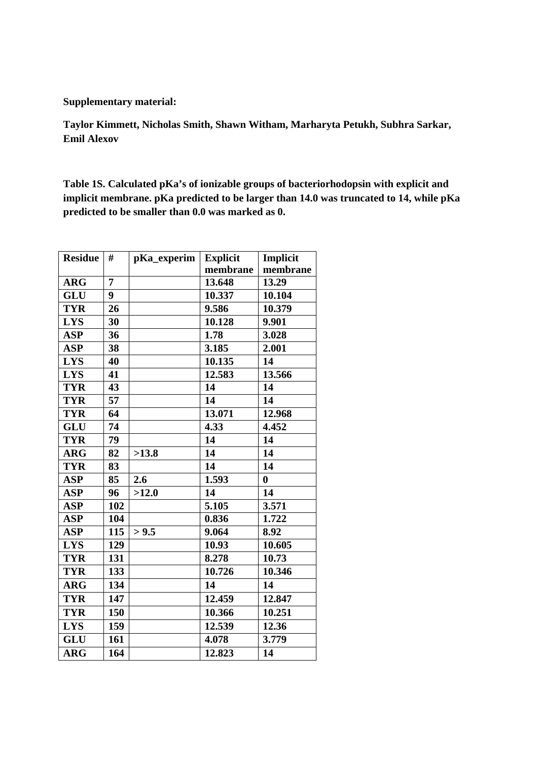## **Supplementary material:**

**Taylor Kimmett, Nicholas Smith, Shawn Witham, Marharyta Petukh, Subhra Sarkar, Emil Alexov** 

**Table 1S. Calculated pKa's of ionizable groups of bacteriorhodopsin with explicit and implicit membrane. pKa predicted to be larger than 14.0 was truncated to 14, while pKa predicted to be smaller than 0.0 was marked as 0.** 

| <b>Residue</b> | #   | pKa_experim | <b>Explicit</b> | Implicit |
|----------------|-----|-------------|-----------------|----------|
|                |     |             | membrane        | membrane |
| <b>ARG</b>     | 7   |             | 13.648          | 13.29    |
| GLU            | 9   |             | 10.337          | 10.104   |
| <b>TYR</b>     | 26  |             | 9.586           | 10.379   |
| <b>LYS</b>     | 30  |             | 10.128          | 9.901    |
| <b>ASP</b>     | 36  |             | 1.78            | 3.028    |
| <b>ASP</b>     | 38  |             | 3.185           | 2.001    |
| <b>LYS</b>     | 40  |             | 10.135          | 14       |
| <b>LYS</b>     | 41  |             | 12.583          | 13.566   |
| <b>TYR</b>     | 43  |             | 14              | 14       |
| <b>TYR</b>     | 57  |             | 14              | 14       |
| <b>TYR</b>     | 64  |             | 13.071          | 12.968   |
| <b>GLU</b>     | 74  |             | 4.33            | 4.452    |
| <b>TYR</b>     | 79  |             | 14              | 14       |
| <b>ARG</b>     | 82  | >13.8       | 14              | 14       |
| <b>TYR</b>     | 83  |             | 14              | 14       |
| <b>ASP</b>     | 85  | 2.6         | 1.593           | $\bf{0}$ |
| <b>ASP</b>     | 96  | >12.0       | 14              | 14       |
| <b>ASP</b>     | 102 |             | 5.105           | 3.571    |
| <b>ASP</b>     | 104 |             | 0.836           | 1.722    |
| <b>ASP</b>     | 115 | > 9.5       | 9.064           | 8.92     |
| <b>LYS</b>     | 129 |             | 10.93           | 10.605   |
| <b>TYR</b>     | 131 |             | 8.278           | 10.73    |
| <b>TYR</b>     | 133 |             | 10.726          | 10.346   |
| <b>ARG</b>     | 134 |             | 14              | 14       |
| <b>TYR</b>     | 147 |             | 12.459          | 12.847   |
| <b>TYR</b>     | 150 |             | 10.366          | 10.251   |
| <b>LYS</b>     | 159 |             | 12.539          | 12.36    |
| <b>GLU</b>     | 161 |             | 4.078           | 3.779    |
| <b>ARG</b>     | 164 |             | 12.823          | 14       |